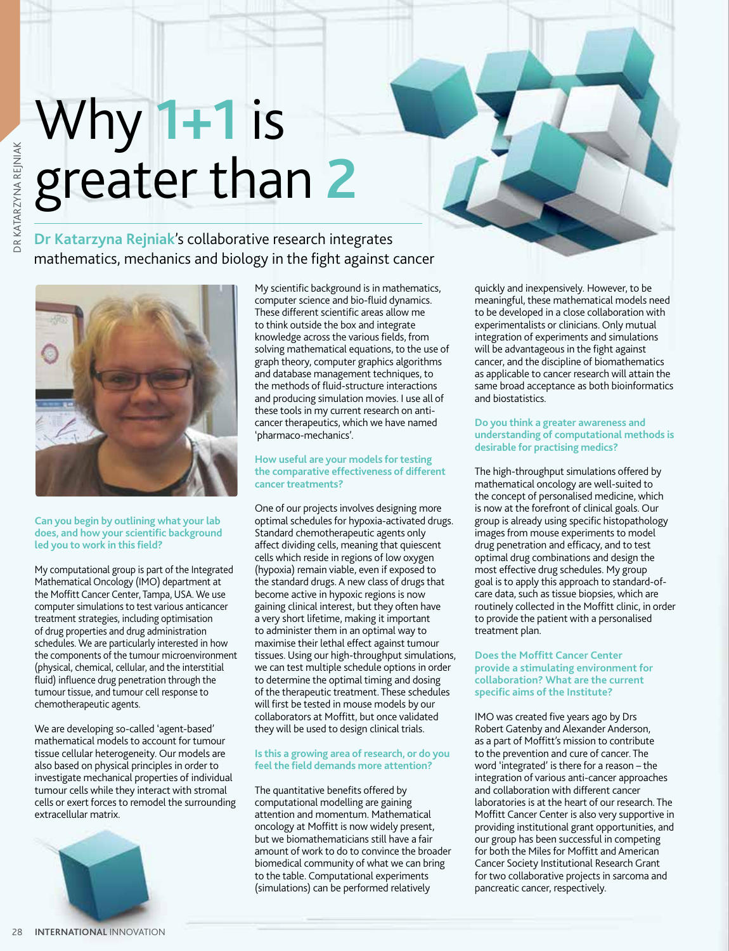# Why **1+1** is greater than **2**

## **Dr Katarzyna Rejniak**'s collaborative research integrates mathematics, mechanics and biology in the fight against cancer



## **Can you begin by outlining what your lab does, and how your scientific background led you to work in this field?**

My computational group is part of the Integrated Mathematical Oncology (IMO) department at the Moffitt Cancer Center, Tampa, USA. We use computer simulations to test various anticancer treatment strategies, including optimisation of drug properties and drug administration schedules. We are particularly interested in how the components of the tumour microenvironment (physical, chemical, cellular, and the interstitial fluid) influence drug penetration through the tumour tissue, and tumour cell response to chemotherapeutic agents.

We are developing so-called 'agent-based' mathematical models to account for tumour tissue cellular heterogeneity. Our models are also based on physical principles in order to investigate mechanical properties of individual tumour cells while they interact with stromal cells or exert forces to remodel the surrounding extracellular matrix.



My scientific background is in mathematics, computer science and bio-fluid dynamics. These different scientific areas allow me to think outside the box and integrate knowledge across the various fields, from solving mathematical equations, to the use of graph theory, computer graphics algorithms and database management techniques, to the methods of fluid-structure interactions and producing simulation movies. I use all of these tools in my current research on anticancer therapeutics, which we have named 'pharmaco-mechanics'.

## **How useful are your models for testing the comparative effectiveness of different cancer treatments?**

One of our projects involves designing more optimal schedules for hypoxia-activated drugs. Standard chemotherapeutic agents only affect dividing cells, meaning that quiescent cells which reside in regions of low oxygen (hypoxia) remain viable, even if exposed to the standard drugs. A new class of drugs that become active in hypoxic regions is now gaining clinical interest, but they often have a very short lifetime, making it important to administer them in an optimal way to maximise their lethal effect against tumour tissues. Using our high-throughput simulations, we can test multiple schedule options in order to determine the optimal timing and dosing of the therapeutic treatment. These schedules will first be tested in mouse models by our collaborators at Moffitt, but once validated they will be used to design clinical trials.

## **Is this a growing area of research, or do you feel the field demands more attention?**

The quantitative benefits offered by computational modelling are gaining attention and momentum. Mathematical oncology at Moffitt is now widely present, but we biomathematicians still have a fair amount of work to do to convince the broader biomedical community of what we can bring to the table. Computational experiments (simulations) can be performed relatively

quickly and inexpensively. However, to be meaningful, these mathematical models need to be developed in a close collaboration with experimentalists or clinicians. Only mutual integration of experiments and simulations will be advantageous in the fight against cancer, and the discipline of biomathematics as applicable to cancer research will attain the same broad acceptance as both bioinformatics and biostatistics.

#### **Do you think a greater awareness and understanding of computational methods is desirable for practising medics?**

The high-throughput simulations offered by mathematical oncology are well-suited to the concept of personalised medicine, which is now at the forefront of clinical goals. Our group is already using specific histopathology images from mouse experiments to model drug penetration and efficacy, and to test optimal drug combinations and design the most effective drug schedules. My group goal is to apply this approach to standard-ofcare data, such as tissue biopsies, which are routinely collected in the Moffitt clinic, in order to provide the patient with a personalised treatment plan.

## **Does the Moffitt Cancer Center provide a stimulating environment for collaboration? What are the current specific aims of the Institute?**

IMO was created five years ago by Drs Robert Gatenby and Alexander Anderson, as a part of Moffitt's mission to contribute to the prevention and cure of cancer. The word 'integrated' is there for a reason – the integration of various anti-cancer approaches and collaboration with different cancer laboratories is at the heart of our research. The Moffitt Cancer Center is also very supportive in providing institutional grant opportunities, and our group has been successful in competing for both the Miles for Moffitt and American Cancer Society Institutional Research Grant for two collaborative projects in sarcoma and pancreatic cancer, respectively.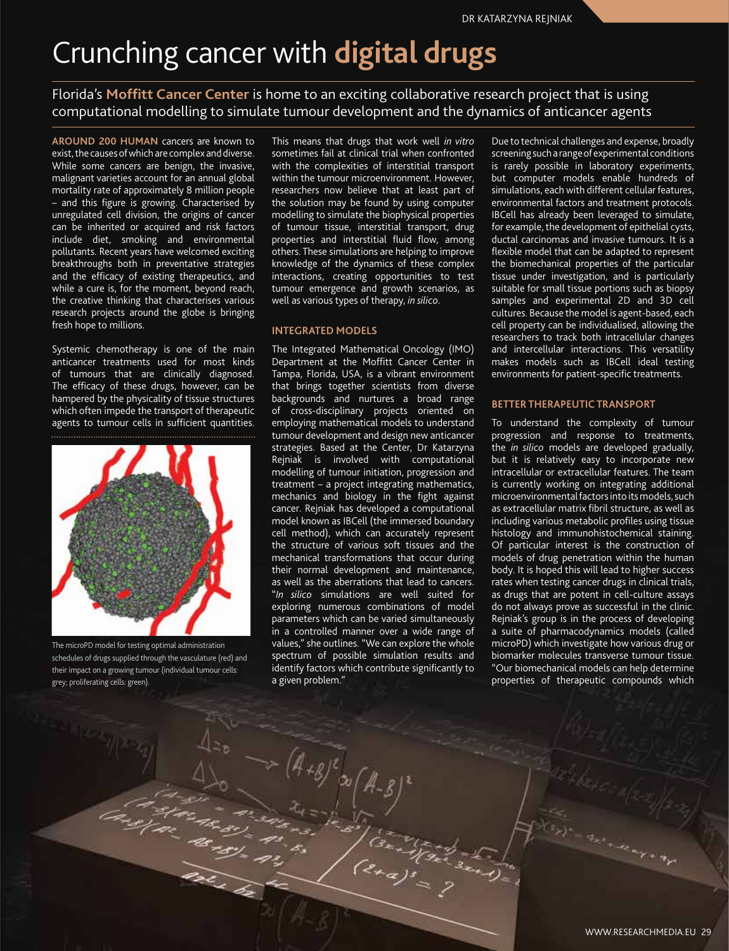## Crunching cancer with **digital drugs**

Florida's **Moffitt Cancer Center** is home to an exciting collaborative research project that is using computational modelling to simulate tumour development and the dynamics of anticancer agents

**AROUND 200 HUMAN** cancers are known to exist, the causes of which are complex and diverse. While some cancers are benign, the invasive, malignant varieties account for an annual global mortality rate of approximately 8 million people – and this figure is growing. Characterised by unregulated cell division, the origins of cancer can be inherited or acquired and risk factors include diet, smoking and environmental pollutants. Recent years have welcomed exciting breakthroughs both in preventative strategies and the efficacy of existing therapeutics, and while a cure is, for the moment, beyond reach, the creative thinking that characterises various research projects around the globe is bringing fresh hope to millions.

Systemic chemotherapy is one of the main anticancer treatments used for most kinds of tumours that are clinically diagnosed. The efficacy of these drugs, however, can be hampered by the physicality of tissue structures which often impede the transport of therapeutic agents to tumour cells in sufficient quantities.



The microPD model for testing optimal administration schedules of drugs supplied through the vasculature (red) and their impact on a growing tumour (individual tumour cells: grey; proliferating cells: green).

This means that drugs that work well *in vitro*  sometimes fail at clinical trial when confronted with the complexities of interstitial transport within the tumour microenvironment. However, researchers now believe that at least part of the solution may be found by using computer modelling to simulate the biophysical properties of tumour tissue, interstitial transport, drug properties and interstitial fluid flow, among others. These simulations are helping to improve knowledge of the dynamics of these complex interactions, creating opportunities to test tumour emergence and growth scenarios, as well as various types of therapy, *in silico*.

## **INTEGRATED MODELS**

The Integrated Mathematical Oncology (IMO) Department at the Moffitt Cancer Center in Tampa, Florida, USA, is a vibrant environment that brings together scientists from diverse backgrounds and nurtures a broad range of cross-disciplinary projects oriented on employing mathematical models to understand tumour development and design new anticancer strategies. Based at the Center, Dr Katarzyna Rejniak is involved with computational modelling of tumour initiation, progression and treatment – a project integrating mathematics, mechanics and biology in the fight against cancer. Rejniak has developed a computational model known as IBCell (the immersed boundary cell method), which can accurately represent the structure of various soft tissues and the mechanical transformations that occur during their normal development and maintenance, as well as the aberrations that lead to cancers. "*In silico* simulations are well suited for exploring numerous combinations of model parameters which can be varied simultaneously in a controlled manner over a wide range of values," she outlines. "We can explore the whole spectrum of possible simulation results and identify factors which contribute significantly to a given problem."

 $\left(\begin{smallmatrix} \mathcal{B} & \mathcal{E} \ \mathcal{B} & \mathcal{B} \end{smallmatrix}\right)$ 

Due to technical challenges and expense, broadly screening such a range of experimental conditions is rarely possible in laboratory experiments, but computer models enable hundreds of simulations, each with different cellular features, environmental factors and treatment protocols. IBCell has already been leveraged to simulate, for example, the development of epithelial cysts, ductal carcinomas and invasive tumours. It is a flexible model that can be adapted to represent the biomechanical properties of the particular tissue under investigation, and is particularly suitable for small tissue portions such as biopsy samples and experimental 2D and 3D cell cultures. Because the model is agent-based, each cell property can be individualised, allowing the researchers to track both intracellular changes and intercellular interactions. This versatility makes models such as IBCell ideal testing environments for patient-specific treatments.

#### **BETTER THERAPEUTIC TRANSPORT**

To understand the complexity of tumour progression and response to treatments, the *in silico* models are developed gradually, but it is relatively easy to incorporate new intracellular or extracellular features. The team is currently working on integrating additional microenvironmental factors into its models, such as extracellular matrix fibril structure, as well as including various metabolic profiles using tissue histology and immunohistochemical staining. Of particular interest is the construction of models of drug penetration within the human body. It is hoped this will lead to higher success rates when testing cancer drugs in clinical trials, as drugs that are potent in cell-culture assays do not always prove as successful in the clinic. Rejniak's group is in the process of developing a suite of pharmacodynamics models (called microPD) which investigate how various drug or biomarker molecules transverse tumour tissue. "Our biomechanical models can help determine properties of therapeutic compounds which